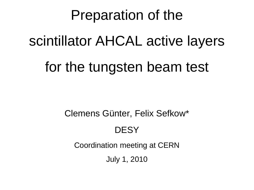# Preparation of the scintillator AHCAL active layers

#### for the tungsten beam test

Clemens Günter, Felix Sefkow\*

#### **DESY**

Coordination meeting at CERN

July 1, 2010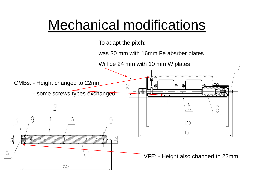## Mechanical modifications

To adapt the pitch:

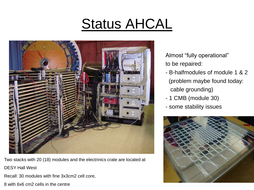# Status AHCAL



Two stacks with 20 (18) modules and the electrinics crate are located at DESY Hall West

Recall: 30 modules with fine 3x3cm2 cell core,

8 with 6x6 cm2 cells in the centre

Almost "fully operational" to be repaired:

- B-halfmodules of module 1 & 2 (problem maybe found today: cable grounding)
- 1 CMB (module 30)
- some stability issues

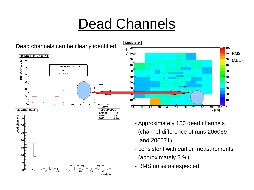# Dead Channels



![](_page_3_Figure_2.jpeg)

- Approximately 150 dead channels (channel difference of runs 206069 and 206071)
- consistent with earlier measurements (approximately 2 %)
- RMS noise as expected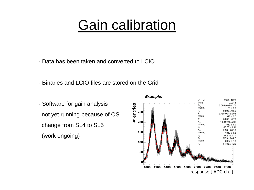#### Gain calibration

- Data has been taken and converted to LCIO
- Binaries and LCIO files are stored on the Grid
- Software for gain analysis not yet running because of OS change from SL4 to SL5 (work ongoing)

![](_page_4_Figure_4.jpeg)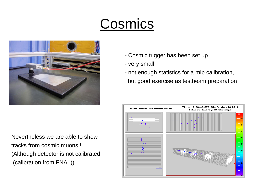# Cosmics

![](_page_5_Picture_1.jpeg)

Nevertheless we are able to show tracks from cosmic muons ! (Although detector is not calibrated (calibration from FNAL))

- Cosmic trigger has been set up
- very small
- not enough statistics for a mip calibration, but good exercise as testbeam preparation

![](_page_5_Figure_6.jpeg)